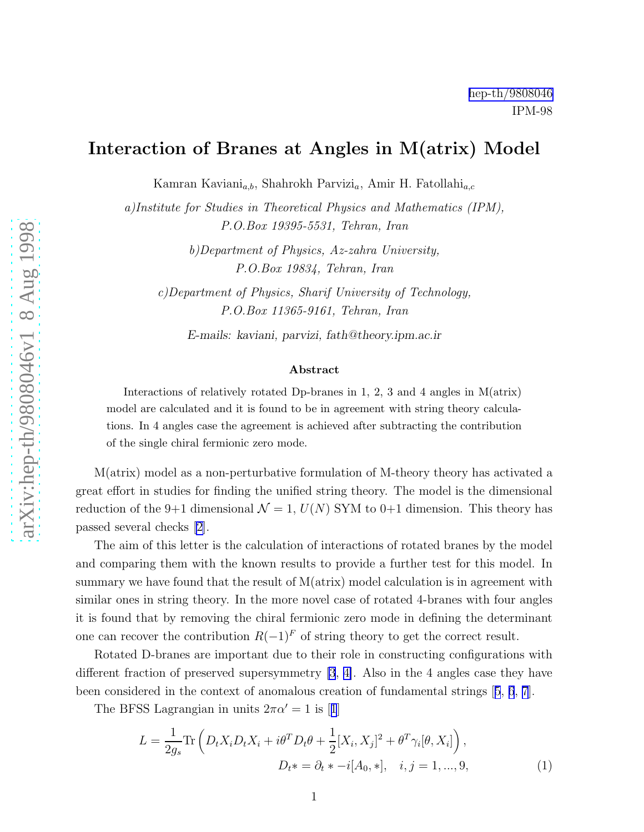## Interaction of Branes at Angles in M(atrix) Model

Kamran Kaviani<sub>a,b</sub>, Shahrokh Parvizi<sub>a</sub>, Amir H. Fatollahi<sub>a,c</sub>

a)Institute for Studies in Theoretical Physics and Mathematics (IPM), P.O.Box 19395-5531, Tehran, Iran

> b)Department of Physics, Az-zahra University, P.O.Box 19834, Tehran, Iran

c)Department of Physics, Sharif University of Technology, P.O.Box 11365-9161, Tehran, Iran

*E-mails: kaviani, parvizi, fath@theory.ipm.ac.ir*

#### Abstract

Interactions of relatively rotated Dp-branes in 1, 2, 3 and 4 angles in M(atrix) model are calculated and it is found to be in agreement with string theory calculations. In 4 angles case the agreement is achieved after subtracting the contribution of the single chiral fermionic zero mode.

M(atrix) model as a non-perturbative formulation of M-theory theory has activated a great effort in studies for finding the unified string theory. The model is the dimensional reduction of the 9+1 dimensional  $\mathcal{N} = 1$ ,  $U(N)$  SYM to 0+1 dimension. This theory has passed several checks [\[2\]](#page-7-0).

The aim of this letter is the calculation of interactions of rotated branes by the model and comparing them with the known results to provide a further test for this model. In summary we have found that the result of M(atrix) model calculation is in agreement with similar ones in string theory. In the more novel case of rotated 4-branes with four angles it is found that by removing the chiral fermionic zero mode in defining the determinant one can recover the contribution  $R(-1)^F$  of string theory to get the correct result.

Rotated D-branes are important due to their role in constructing configurations with different fraction of preserved supersymmetry [\[3](#page-7-0), [4\]](#page-7-0). Also in the 4 angles case they have been considered in the context of anomalous creation of fundamental strings[[5](#page-7-0), [6](#page-7-0), [7](#page-7-0)].

TheBFSS Lagrangian in units  $2\pi\alpha' = 1$  $2\pi\alpha' = 1$  is [1]

$$
L = \frac{1}{2g_s} \text{Tr} \left( D_t X_i D_t X_i + i \theta^T D_t \theta + \frac{1}{2} [X_i, X_j]^2 + \theta^T \gamma_i [\theta, X_i] \right),
$$
  

$$
D_t * = \partial_t * -i[A_0, *], \quad i, j = 1, ..., 9,
$$
 (1)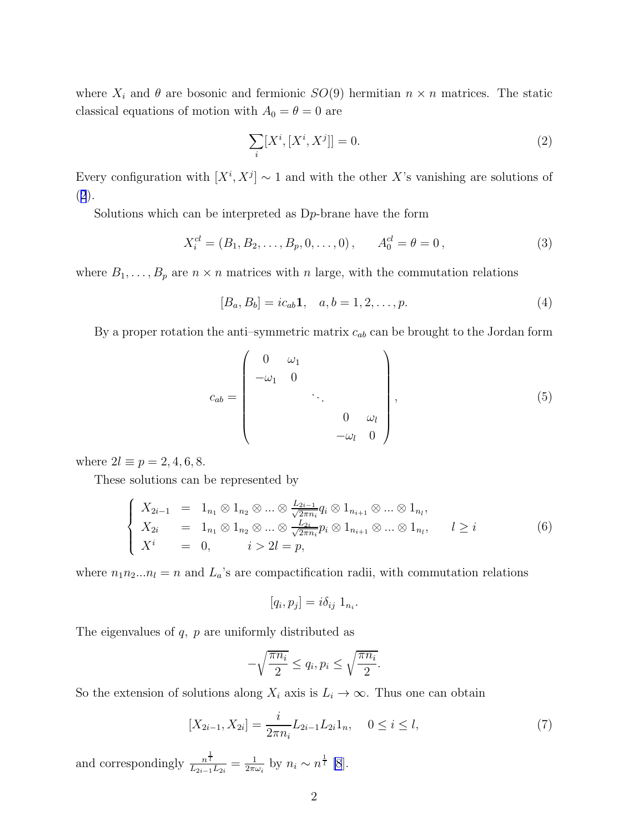where  $X_i$  and  $\theta$  are bosonic and fermionic  $SO(9)$  hermitian  $n \times n$  matrices. The static classical equations of motion with  $A_0 = \theta = 0$  are

$$
\sum_{i} [X^{i}, [X^{i}, X^{j}]] = 0.
$$
 (2)

Every configuration with  $[X^i, X^j] \sim 1$  and with the other X's vanishing are solutions of (2).

Solutions which can be interpreted as Dp-brane have the form

$$
X_i^{cl} = (B_1, B_2, \dots, B_p, 0, \dots, 0), \qquad A_0^{cl} = \theta = 0,
$$
\n(3)

where  $B_1, \ldots, B_p$  are  $n \times n$  matrices with n large, with the commutation relations

$$
[B_a, B_b] = ic_{ab} \mathbf{1}, \quad a, b = 1, 2, \dots, p. \tag{4}
$$

By a proper rotation the anti-symmetric matrix  $c_{ab}$  can be brought to the Jordan form

$$
c_{ab} = \begin{pmatrix} 0 & \omega_1 & & & \\ -\omega_1 & 0 & & & \\ & & \ddots & & \\ & & & 0 & \omega_l \\ & & & & -\omega_l & 0 \end{pmatrix},
$$
 (5)

where  $2l \equiv p = 2, 4, 6, 8$ .

These solutions can be represented by

$$
\begin{cases}\nX_{2i-1} = 1_{n_1} \otimes 1_{n_2} \otimes \dots \otimes \frac{L_{2i-1}}{\sqrt{2\pi n_i}} q_i \otimes 1_{n_{i+1}} \otimes \dots \otimes 1_{n_l}, \\
X_{2i} = 1_{n_1} \otimes 1_{n_2} \otimes \dots \otimes \frac{L_{2i}}{\sqrt{2\pi n_i}} p_i \otimes 1_{n_{i+1}} \otimes \dots \otimes 1_{n_l}, \quad l \ge i \\
X^i = 0, \quad i > 2l = p,\n\end{cases} (6)
$$

where  $n_1 n_2 ... n_l = n$  and  $L_a$ 's are compactification radii, with commutation relations

$$
[q_i, p_j] = i\delta_{ij} 1_{n_i}.
$$

The eigenvalues of  $q$ ,  $p$  are uniformly distributed as

$$
-\sqrt{\frac{\pi n_i}{2}} \le q_i, p_i \le \sqrt{\frac{\pi n_i}{2}}.
$$

So the extension of solutions along  $X_i$  axis is  $L_i \to \infty$ . Thus one can obtain

$$
[X_{2i-1}, X_{2i}] = \frac{i}{2\pi n_i} L_{2i-1} L_{2i} 1_n, \quad 0 \le i \le l,
$$
\n<sup>(7)</sup>

and correspondingly  $\frac{n^{\frac{1}{l}}}{\sqrt{n^2}}$  $\frac{n\, \overline{l}}{L_{2i-1}L_{2i}} = \frac{1}{2\pi \alpha}$  $\frac{1}{2\pi\omega_i}$  by  $n_i \sim n^{\frac{1}{l}}$  [\[8](#page-7-0)].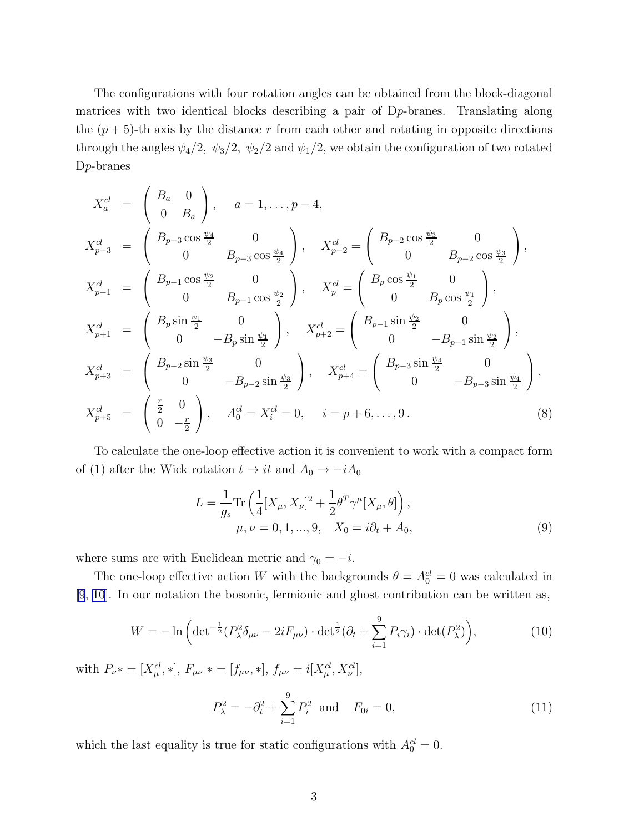<span id="page-2-0"></span>The configurations with four rotation angles can be obtained from the block-diagonal matrices with two identical blocks describing a pair of Dp-branes. Translating along the  $(p+5)$ -th axis by the distance r from each other and rotating in opposite directions through the angles  $\psi_4/2$ ,  $\psi_3/2$ ,  $\psi_2/2$  and  $\psi_1/2$ , we obtain the configuration of two rotated Dp-branes

$$
X_{a}^{cl} = \begin{pmatrix} B_{a} & 0 \ 0 & B_{a} \end{pmatrix}, \quad a = 1, ..., p - 4,
$$
  
\n
$$
X_{p-3}^{cl} = \begin{pmatrix} B_{p-3} \cos \frac{\psi_{4}}{2} & 0 \ 0 & B_{p-3} \cos \frac{\psi_{4}}{2} \end{pmatrix}, \quad X_{p-2}^{cl} = \begin{pmatrix} B_{p-2} \cos \frac{\psi_{3}}{2} & 0 \ 0 & B_{p-2} \cos \frac{\psi_{3}}{2} \end{pmatrix},
$$
  
\n
$$
X_{p-1}^{cl} = \begin{pmatrix} B_{p-1} \cos \frac{\psi_{2}}{2} & 0 \ 0 & B_{p-1} \cos \frac{\psi_{2}}{2} \end{pmatrix}, \quad X_{p}^{cl} = \begin{pmatrix} B_{p} \cos \frac{\psi_{1}}{2} & 0 \ 0 & B_{p} \cos \frac{\psi_{1}}{2} \end{pmatrix},
$$
  
\n
$$
X_{p+1}^{cl} = \begin{pmatrix} B_{p} \sin \frac{\psi_{1}}{2} & 0 \ 0 & -B_{p} \sin \frac{\psi_{1}}{2} \end{pmatrix}, \quad X_{p+2}^{cl} = \begin{pmatrix} B_{p-1} \sin \frac{\psi_{2}}{2} & 0 \ 0 & -B_{p-1} \sin \frac{\psi_{2}}{2} \end{pmatrix},
$$
  
\n
$$
X_{p+3}^{cl} = \begin{pmatrix} B_{p-2} \sin \frac{\psi_{3}}{2} & 0 \ 0 & -B_{p-2} \sin \frac{\psi_{3}}{2} \end{pmatrix}, \quad X_{p+4}^{cl} = \begin{pmatrix} B_{p-3} \sin \frac{\psi_{4}}{2} & 0 \ 0 & -B_{p-3} \sin \frac{\psi_{4}}{2} \end{pmatrix},
$$
  
\n
$$
X_{p+5}^{cl} = \begin{pmatrix} \frac{r}{2} & 0 \ 0 & -\frac{r}{2} \end{pmatrix}, \quad A_{0}^{cl} = X_{i}^{cl} = 0, \quad i = p + 6, ..., 9.
$$
  
\n(8)

To calculate the one-loop effective action it is convenient to work with a compact form of (1) after the Wick rotation  $t \to it$  and  $A_0 \to -iA_0$ 

$$
L = \frac{1}{g_s} \text{Tr} \left( \frac{1}{4} [X_{\mu}, X_{\nu}]^2 + \frac{1}{2} \theta^T \gamma^{\mu} [X_{\mu}, \theta] \right),
$$
  

$$
\mu, \nu = 0, 1, ..., 9, \quad X_0 = i \partial_t + A_0,
$$
 (9)

where sums are with Euclidean metric and  $\gamma_0 = -i$ .

The one-loop effective action W with the backgrounds  $\theta = A_0^{cl} = 0$  was calculated in [\[9](#page-7-0), [10\]](#page-7-0). In our notation the bosonic, fermionic and ghost contribution can be written as,

$$
W = -\ln\left(\det^{-\frac{1}{2}}(P_{\lambda}^2 \delta_{\mu\nu} - 2iF_{\mu\nu}) \cdot \det^{\frac{1}{2}}(\partial_t + \sum_{i=1}^9 P_i \gamma_i) \cdot \det(P_{\lambda}^2)\right),\tag{10}
$$

with  $P_{\nu} * = [X_{\mu}^{cl}, *], F_{\mu\nu} * = [f_{\mu\nu}, *], f_{\mu\nu} = i[X_{\mu}^{cl}, X_{\nu}^{cl}],$ 

$$
P_{\lambda}^{2} = -\partial_{t}^{2} + \sum_{i=1}^{9} P_{i}^{2} \text{ and } F_{0i} = 0,
$$
 (11)

which the last equality is true for static configurations with  $A_0^{cl} = 0$ .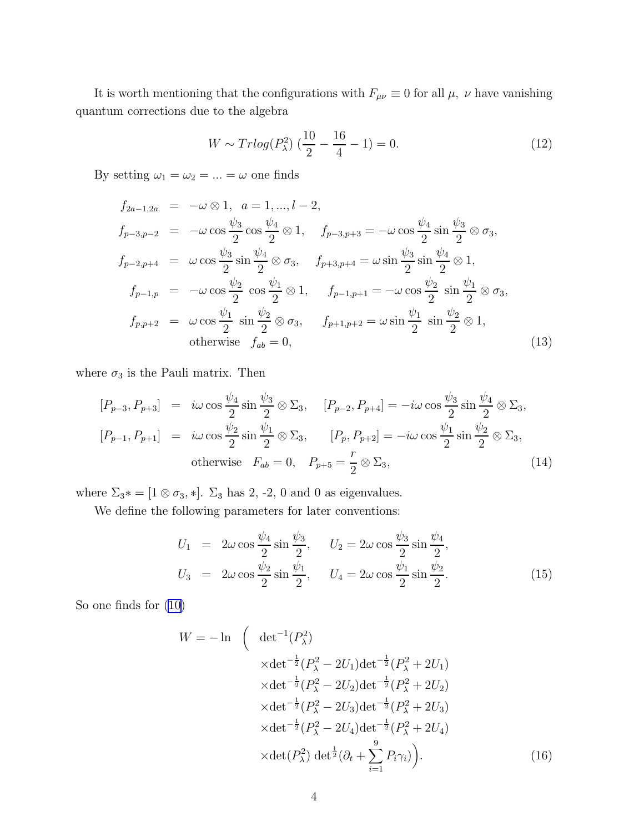<span id="page-3-0"></span>It is worth mentioning that the configurations with  $F_{\mu\nu}\equiv 0$  for all  $\mu$ ,  $\nu$  have vanishing quantum corrections due to the algebra

$$
W \sim Tr \log(P_{\lambda}^2) \left(\frac{10}{2} - \frac{16}{4} - 1\right) = 0. \tag{12}
$$

By setting  $\omega_1 = \omega_2 = \ldots = \omega$  one finds

$$
f_{2a-1,2a} = -\omega \otimes 1, \quad a = 1, ..., l - 2,
$$
  
\n
$$
f_{p-3,p-2} = -\omega \cos \frac{\psi_3}{2} \cos \frac{\psi_4}{2} \otimes 1, \quad f_{p-3,p+3} = -\omega \cos \frac{\psi_4}{2} \sin \frac{\psi_3}{2} \otimes \sigma_3,
$$
  
\n
$$
f_{p-2,p+4} = \omega \cos \frac{\psi_3}{2} \sin \frac{\psi_4}{2} \otimes \sigma_3, \quad f_{p+3,p+4} = \omega \sin \frac{\psi_3}{2} \sin \frac{\psi_4}{2} \otimes 1,
$$
  
\n
$$
f_{p-1,p} = -\omega \cos \frac{\psi_2}{2} \cos \frac{\psi_1}{2} \otimes 1, \quad f_{p-1,p+1} = -\omega \cos \frac{\psi_2}{2} \sin \frac{\psi_1}{2} \otimes \sigma_3,
$$
  
\n
$$
f_{p,p+2} = \omega \cos \frac{\psi_1}{2} \sin \frac{\psi_2}{2} \otimes \sigma_3, \quad f_{p+1,p+2} = \omega \sin \frac{\psi_1}{2} \sin \frac{\psi_2}{2} \otimes 1,
$$
  
\notherwise  $f_{ab} = 0,$  (13)

where  $\sigma_3$  is the Pauli matrix. Then

$$
[P_{p-3}, P_{p+3}] = i\omega \cos \frac{\psi_4}{2} \sin \frac{\psi_3}{2} \otimes \Sigma_3, \quad [P_{p-2}, P_{p+4}] = -i\omega \cos \frac{\psi_3}{2} \sin \frac{\psi_4}{2} \otimes \Sigma_3,
$$
  

$$
[P_{p-1}, P_{p+1}] = i\omega \cos \frac{\psi_2}{2} \sin \frac{\psi_1}{2} \otimes \Sigma_3, \quad [P_p, P_{p+2}] = -i\omega \cos \frac{\psi_1}{2} \sin \frac{\psi_2}{2} \otimes \Sigma_3,
$$
  
otherwise  $F_{ab} = 0, \quad P_{p+5} = \frac{r}{2} \otimes \Sigma_3,$  (14)

where  $\Sigma_3*=[1\otimes\sigma_3,*]$ .  $\Sigma_3$  has 2, -2, 0 and 0 as eigenvalues.

We define the following parameters for later conventions:

$$
U_1 = 2\omega \cos \frac{\psi_4}{2} \sin \frac{\psi_3}{2}, \qquad U_2 = 2\omega \cos \frac{\psi_3}{2} \sin \frac{\psi_4}{2}, U_3 = 2\omega \cos \frac{\psi_2}{2} \sin \frac{\psi_1}{2}, \qquad U_4 = 2\omega \cos \frac{\psi_1}{2} \sin \frac{\psi_2}{2}.
$$
 (15)

So one finds for [\(10\)](#page-2-0)

$$
W = -\ln \left( \det^{-1}(P_{\lambda}^{2}) \times \det^{-\frac{1}{2}}(P_{\lambda}^{2} - 2U_{1}) \det^{-\frac{1}{2}}(P_{\lambda}^{2} + 2U_{1}) \times \det^{-\frac{1}{2}}(P_{\lambda}^{2} - 2U_{2}) \det^{-\frac{1}{2}}(P_{\lambda}^{2} + 2U_{2}) \times \det^{-\frac{1}{2}}(P_{\lambda}^{2} - 2U_{3}) \det^{-\frac{1}{2}}(P_{\lambda}^{2} + 2U_{3}) \times \det^{-\frac{1}{2}}(P_{\lambda}^{2} - 2U_{4}) \det^{-\frac{1}{2}}(P_{\lambda}^{2} + 2U_{4}) \times \det(P_{\lambda}^{2}) \det^{\frac{1}{2}}(\partial_{t} + \sum_{i=1}^{9} P_{i} \gamma_{i}) \right).
$$
\n(16)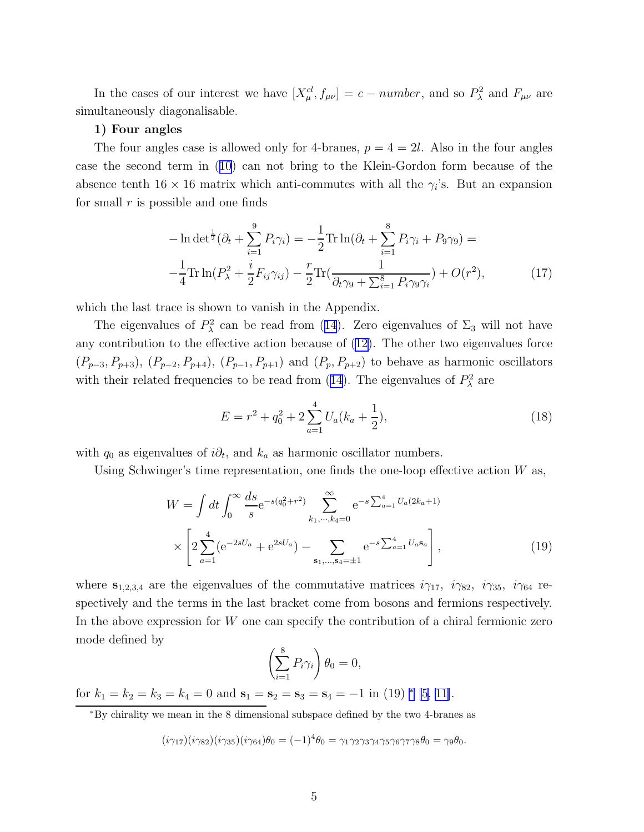<span id="page-4-0"></span>In the cases of our interest we have  $[X_{\mu}^{cl}, f_{\mu\nu}] = c - number$ , and so  $P_{\lambda}^2$  and  $F_{\mu\nu}$  are simultaneously diagonalisable.

#### 1) Four angles

The four angles case is allowed only for 4-branes,  $p = 4 = 2l$ . Also in the four angles case the second term in([10](#page-2-0)) can not bring to the Klein-Gordon form because of the absence tenth  $16 \times 16$  matrix which anti-commutes with all the  $\gamma_i$ 's. But an expansion for small  $r$  is possible and one finds

$$
-\ln \det^{\frac{1}{2}}(\partial_t + \sum_{i=1}^9 P_i \gamma_i) = -\frac{1}{2} \text{Tr} \ln(\partial_t + \sum_{i=1}^8 P_i \gamma_i + P_9 \gamma_9) = -\frac{1}{4} \text{Tr} \ln(P_\lambda^2 + \frac{i}{2} F_{ij} \gamma_{ij}) - \frac{r}{2} \text{Tr} (\frac{1}{\partial_t \gamma_9 + \sum_{i=1}^8 P_i \gamma_9 \gamma_i}) + O(r^2), \tag{17}
$$

which the last trace is shown to vanish in the Appendix.

Theeigenvalues of  $P_\lambda^2$  can be read from ([14](#page-3-0)). Zero eigenvalues of  $\Sigma_3$  will not have any contribution to the effective action because of [\(12\)](#page-3-0). The other two eigenvalues force  $(P_{p-3}, P_{p+3}), (P_{p-2}, P_{p+4}), (P_{p-1}, P_{p+1})$  and  $(P_p, P_{p+2})$  to behave as harmonic oscillators with their related frequencies to be read from [\(14\)](#page-3-0). The eigenvalues of  $P_\lambda^2$  are

$$
E = r^2 + q_0^2 + 2\sum_{a=1}^{4} U_a(k_a + \frac{1}{2}),
$$
\n(18)

with  $q_0$  as eigenvalues of  $i\partial_t$ , and  $k_a$  as harmonic oscillator numbers.

Using Schwinger's time representation, one finds the one-loop effective action  $W$  as,

$$
W = \int dt \int_0^\infty \frac{ds}{s} e^{-s(q_0^2 + r^2)} \sum_{k_1, \dots, k_4 = 0}^\infty e^{-s \sum_{a=1}^4 U_a (2k_a + 1)} \times \left[ 2 \sum_{a=1}^4 (e^{-2sU_a} + e^{2sU_a}) - \sum_{s_1, \dots, s_4 = \pm 1} e^{-s \sum_{a=1}^4 U_a s_a} \right],
$$
(19)

where  $s_{1,2,3,4}$  are the eigenvalues of the commutative matrices  $i\gamma_{17}$ ,  $i\gamma_{82}$ ,  $i\gamma_{35}$ ,  $i\gamma_{64}$  respectively and the terms in the last bracket come from bosons and fermions respectively. In the above expression for  $W$  one can specify the contribution of a chiral fermionic zero mode defined by

$$
\left(\sum_{i=1}^8 P_i \gamma_i\right) \theta_0 = 0,
$$

for  $k_1 = k_2 = k_3 = k_4 = 0$  and  $\mathbf{s}_1 = \mathbf{s}_2 = \mathbf{s}_3 = \mathbf{s}_4 = -1$  in (19)  $*$  [\[5, 11\]](#page-7-0).

$$
(i\gamma_{17})(i\gamma_{82})(i\gamma_{35})(i\gamma_{64})\theta_0=(-1)^4\theta_0=\gamma_1\gamma_2\gamma_3\gamma_4\gamma_5\gamma_6\gamma_7\gamma_8\theta_0=\gamma_9\theta_0.
$$

<sup>∗</sup>By chirality we mean in the 8 dimensional subspace defined by the two 4-branes as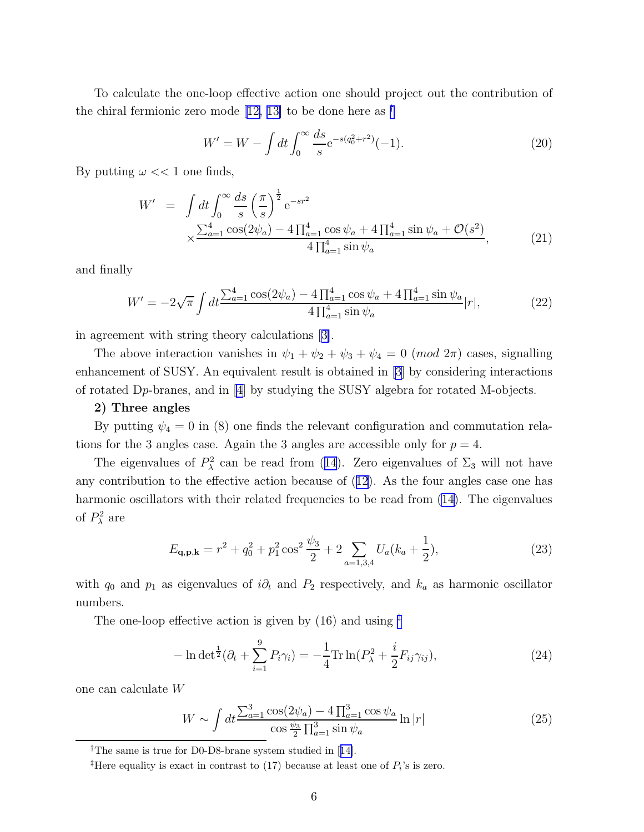To calculate the one-loop effective action one should project out the contribution of thechiral fermionic zero mode [[12, 13\]](#page-7-0) to be done here as  $^{\dagger}$ 

$$
W' = W - \int dt \int_0^\infty \frac{ds}{s} e^{-s(q_0^2 + r^2)}(-1).
$$
 (20)

By putting  $\omega \ll 1$  one finds,

$$
W' = \int dt \int_0^\infty \frac{ds}{s} \left(\frac{\pi}{s}\right)^{\frac{1}{2}} e^{-sr^2}
$$
  
 
$$
\times \frac{\sum_{a=1}^4 \cos(2\psi_a) - 4\prod_{a=1}^4 \cos\psi_a + 4\prod_{a=1}^4 \sin\psi_a + \mathcal{O}(s^2)}{4\prod_{a=1}^4 \sin\psi_a},
$$
 (21)

and finally

$$
W' = -2\sqrt{\pi} \int dt \frac{\sum_{a=1}^{4} \cos(2\psi_a) - 4\prod_{a=1}^{4} \cos\psi_a + 4\prod_{a=1}^{4} \sin\psi_a}{4\prod_{a=1}^{4} \sin\psi_a} |r|,
$$
 (22)

in agreement with string theory calculations[[3\]](#page-7-0).

The above interaction vanishes in  $\psi_1 + \psi_2 + \psi_3 + \psi_4 = 0$  (mod  $2\pi$ ) cases, signalling enhancement of SUSY. An equivalent result is obtained in [\[3\]](#page-7-0) by considering interactions of rotated Dp-branes, and in [\[4\]](#page-7-0) by studying the SUSY algebra for rotated M-objects.

#### 2) Three angles

By putting  $\psi_4 = 0$  in (8) one finds the relevant configuration and commutation relations for the 3 angles case. Again the 3 angles are accessible only for  $p = 4$ .

Theeigenvalues of  $P_\lambda^2$  can be read from ([14](#page-3-0)). Zero eigenvalues of  $\Sigma_3$  will not have any contribution to the effective action because of([12](#page-3-0)). As the four angles case one has harmonic oscillators with their related frequencies to be read from  $(14)$ . The eigenvalues of  $P_\lambda^2$  are

$$
E_{\mathbf{q},\mathbf{p},\mathbf{k}} = r^2 + q_0^2 + p_1^2 \cos^2 \frac{\psi_3}{2} + 2 \sum_{a=1,3,4} U_a (k_a + \frac{1}{2}),\tag{23}
$$

with  $q_0$  and  $p_1$  as eigenvalues of  $i\partial_t$  and  $P_2$  respectively, and  $k_a$  as harmonic oscillator numbers.

The one-loop effective action is given by  $(16)$  and using  $\frac{1}{2}$ 

$$
-\ln \det^{\frac{1}{2}}(\partial_t + \sum_{i=1}^{9} P_i \gamma_i) = -\frac{1}{4} \text{Tr} \ln(P_\lambda^2 + \frac{i}{2} F_{ij} \gamma_{ij}),\tag{24}
$$

one can calculate W

$$
W \sim \int dt \frac{\sum_{a=1}^{3} \cos(2\psi_a) - 4 \prod_{a=1}^{3} \cos \psi_a}{\cos \frac{\psi_3}{2} \prod_{a=1}^{3} \sin \psi_a} \ln |r|
$$
 (25)

<sup>†</sup>The same is true for D0-D8-brane system studied in[[14\]](#page-7-0).

<sup>&</sup>lt;sup>‡</sup>Here equality is exact in contrast to (17) because at least one of  $P_i$ 's is zero.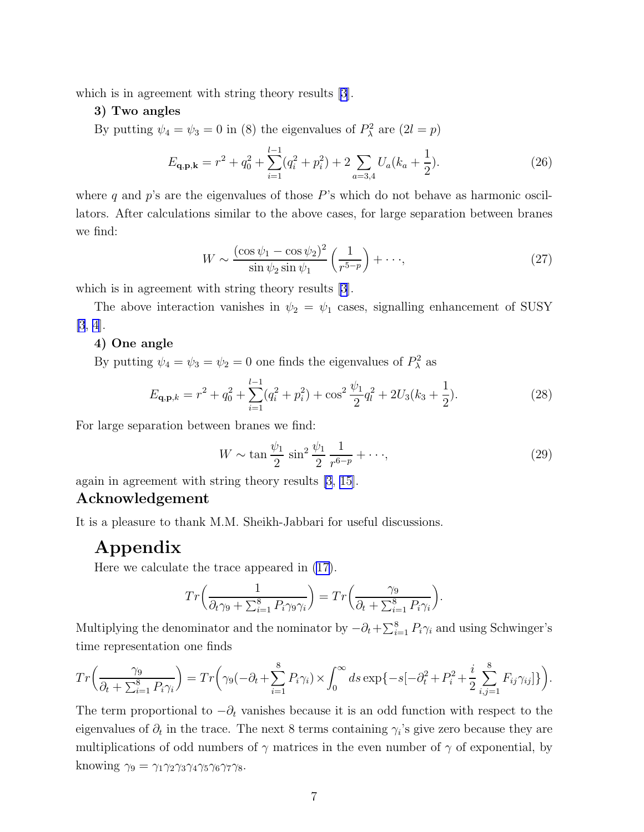which is in agreement with string theory results [\[3](#page-7-0)].

#### 3) Two angles

By putting  $\psi_4 = \psi_3 = 0$  in (8) the eigenvalues of  $P_\lambda^2$  are  $(2l = p)$ 

$$
E_{\mathbf{q},\mathbf{p},\mathbf{k}} = r^2 + q_0^2 + \sum_{i=1}^{l-1} (q_i^2 + p_i^2) + 2 \sum_{a=3,4} U_a (k_a + \frac{1}{2}).
$$
 (26)

where q and  $p$ 's are the eigenvalues of those  $P$ 's which do not behave as harmonic oscillators. After calculations similar to the above cases, for large separation between branes we find:

$$
W \sim \frac{(\cos \psi_1 - \cos \psi_2)^2}{\sin \psi_2 \sin \psi_1} \left(\frac{1}{r^{5-p}}\right) + \cdots,
$$
\n(27)

which is in agreement with string theory results [\[3](#page-7-0)].

The above interaction vanishes in  $\psi_2 = \psi_1$  cases, signalling enhancement of SUSY [\[3](#page-7-0), [4](#page-7-0)].

#### 4) One angle

By putting  $\psi_4 = \psi_3 = \psi_2 = 0$  one finds the eigenvalues of  $P_\lambda^2$  as

$$
E_{\mathbf{q},\mathbf{p},k} = r^2 + q_0^2 + \sum_{i=1}^{l-1} (q_i^2 + p_i^2) + \cos^2 \frac{\psi_1}{2} q_l^2 + 2U_3(k_3 + \frac{1}{2}).\tag{28}
$$

For large separation between branes we find:

$$
W \sim \tan \frac{\psi_1}{2} \sin^2 \frac{\psi_1}{2} \frac{1}{r^{6-p}} + \cdots,
$$
 (29)

again in agreement with string theory results [\[3](#page-7-0), [15\]](#page-7-0).

### Acknowledgement

It is a pleasure to thank M.M. Sheikh-Jabbari for useful discussions.

### Appendix

Here we calculate the trace appeared in [\(17\)](#page-4-0).

$$
Tr\left(\frac{1}{\partial_t\gamma_9 + \sum_{i=1}^8 P_i\gamma_9\gamma_i}\right) = Tr\left(\frac{\gamma_9}{\partial_t + \sum_{i=1}^8 P_i\gamma_i}\right).
$$

Multiplying the denominator and the nominator by  $-\partial_t + \sum_{i=1}^8 P_i \gamma_i$  and using Schwinger's time representation one finds

$$
Tr\left(\frac{\gamma_9}{\partial_t + \sum_{i=1}^8 P_i \gamma_i}\right) = Tr\left(\gamma_9(-\partial_t + \sum_{i=1}^8 P_i \gamma_i) \times \int_0^\infty ds \exp\{-s[-\partial_t^2 + P_i^2 + \frac{i}{2} \sum_{i,j=1}^8 F_{ij} \gamma_{ij}]\}\right).
$$

The term proportional to  $-\partial_t$  vanishes because it is an odd function with respect to the eigenvalues of  $\partial_t$  in the trace. The next 8 terms containing  $\gamma_i$ 's give zero because they are multiplications of odd numbers of  $\gamma$  matrices in the even number of  $\gamma$  of exponential, by knowing  $\gamma_9 = \gamma_1 \gamma_2 \gamma_3 \gamma_4 \gamma_5 \gamma_6 \gamma_7 \gamma_8$ .